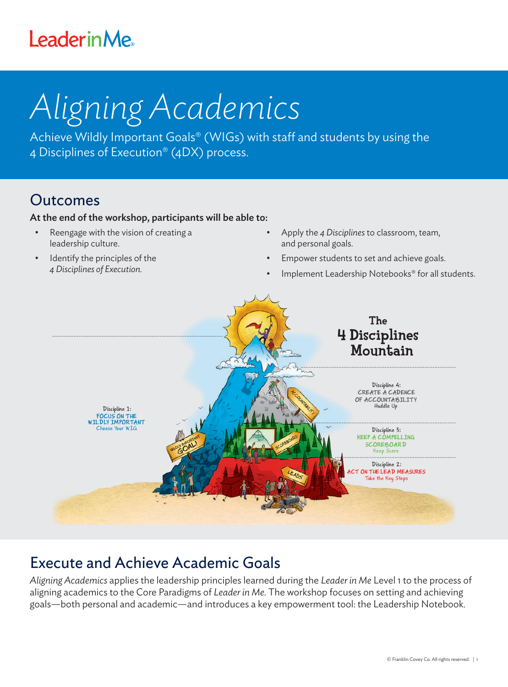## **LeaderinMe**

# *Aligning Academics*

Achieve Wildly Important Goals® (WIGs) with staff and students by using the 4 Disciplines of Execution® (4DX) process.

### Outcomes

#### At the end of the workshop, participants will be able to:

- Reengage with the vision of creating a leadership culture.
- Identify the principles of the *4 Disciplines of Execution.*
- Apply the *4 Disciplines* to classroom, team, and personal goals.
- Empower students to set and achieve goals.
- Implement Leadership Notebooks® for all students.



## Execute and Achieve Academic Goals

*Aligning Academics* applies the leadership principles learned during the *Leader in Me* Level 1 to the process of aligning academics to the Core Paradigms of *Leader in Me.* The workshop focuses on setting and achieving goals—both personal and academic—and introduces a key empowerment tool: the Leadership Notebook.